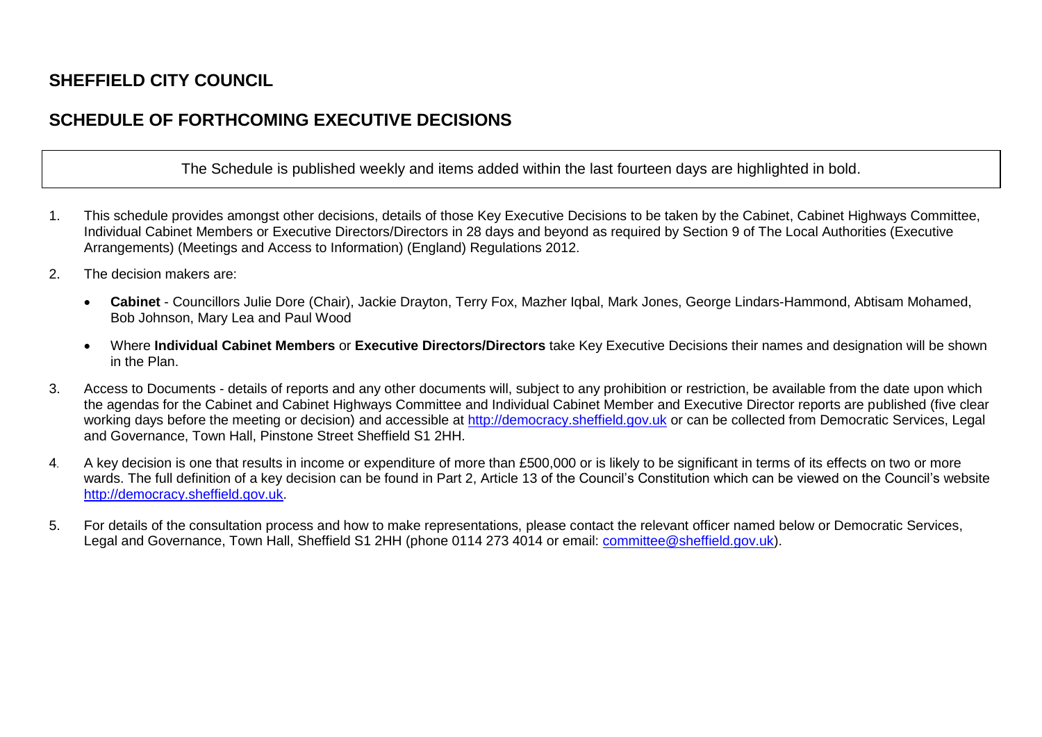## **SHEFFIELD CITY COUNCIL**

## **SCHEDULE OF FORTHCOMING EXECUTIVE DECISIONS**

The Schedule is published weekly and items added within the last fourteen days are highlighted in bold.

- 1. This schedule provides amongst other decisions, details of those Key Executive Decisions to be taken by the Cabinet, Cabinet Highways Committee, Individual Cabinet Members or Executive Directors/Directors in 28 days and beyond as required by Section 9 of The Local Authorities (Executive Arrangements) (Meetings and Access to Information) (England) Regulations 2012.
- 2. The decision makers are:
	- **Cabinet**  Councillors Julie Dore (Chair), Jackie Drayton, Terry Fox, Mazher Iqbal, Mark Jones, George Lindars-Hammond, Abtisam Mohamed, Bob Johnson, Mary Lea and Paul Wood
	- Where **Individual Cabinet Members** or **Executive Directors/Directors** take Key Executive Decisions their names and designation will be shown in the Plan.
- 3. Access to Documents details of reports and any other documents will, subject to any prohibition or restriction, be available from the date upon which the agendas for the Cabinet and Cabinet Highways Committee and Individual Cabinet Member and Executive Director reports are published (five clear working days before the meeting or decision) and accessible at [http://democracy.sheffield.gov.uk](http://democracy.sheffield.gov.uk/) or can be collected from Democratic Services, Legal and Governance, Town Hall, Pinstone Street Sheffield S1 2HH.
- 4. A key decision is one that results in income or expenditure of more than £500,000 or is likely to be significant in terms of its effects on two or more wards. The full definition of a key decision can be found in Part 2, Article 13 of the Council's Constitution which can be viewed on the Council's website [http://democracy.sheffield.gov.uk.](http://democracy.sheffield.gov.uk/)
- 5. For details of the consultation process and how to make representations, please contact the relevant officer named below or Democratic Services, Legal and Governance, Town Hall, Sheffield S1 2HH (phone 0114 273 4014 or email: [committee@sheffield.gov.uk\)](mailto:committee@sheffield.gov.uk).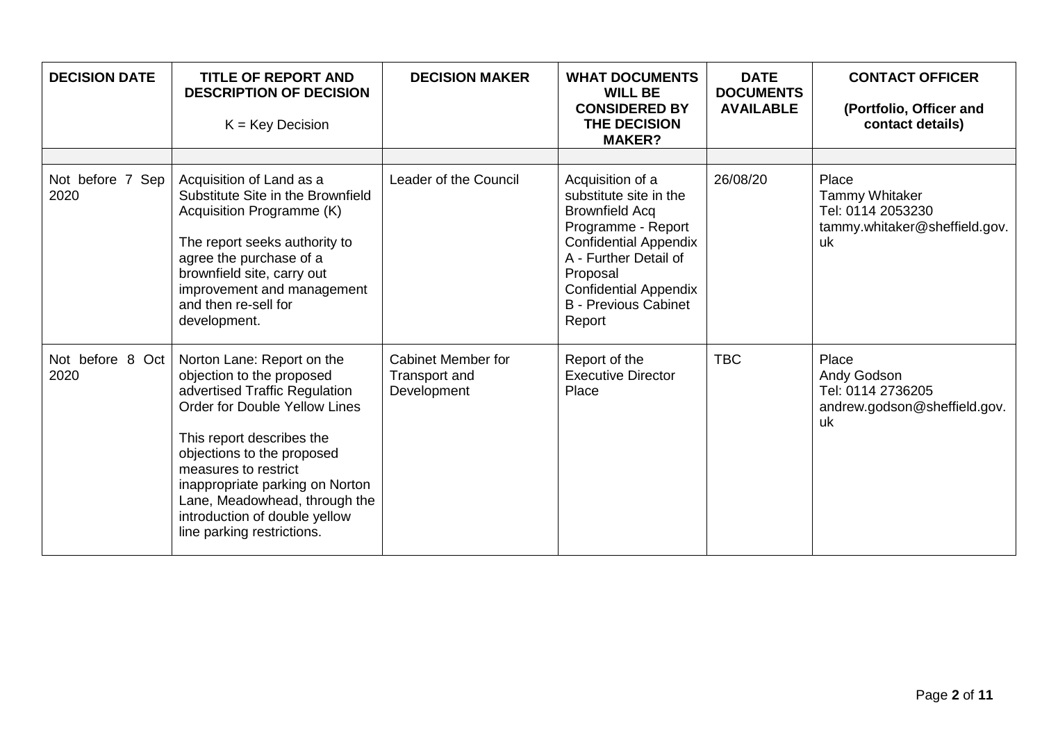| <b>DECISION DATE</b>     | <b>TITLE OF REPORT AND</b><br><b>DESCRIPTION OF DECISION</b><br>$K = Key Decision$                                                                                                                                                                                                                                                                     | <b>DECISION MAKER</b>                                     | <b>WHAT DOCUMENTS</b><br><b>WILL BE</b><br><b>CONSIDERED BY</b><br>THE DECISION<br><b>MAKER?</b>                                                                                                                                        | <b>DATE</b><br><b>DOCUMENTS</b><br><b>AVAILABLE</b> | <b>CONTACT OFFICER</b><br>(Portfolio, Officer and<br>contact details)                      |
|--------------------------|--------------------------------------------------------------------------------------------------------------------------------------------------------------------------------------------------------------------------------------------------------------------------------------------------------------------------------------------------------|-----------------------------------------------------------|-----------------------------------------------------------------------------------------------------------------------------------------------------------------------------------------------------------------------------------------|-----------------------------------------------------|--------------------------------------------------------------------------------------------|
| Not before 7 Sep<br>2020 | Acquisition of Land as a<br>Substitute Site in the Brownfield<br>Acquisition Programme (K)<br>The report seeks authority to<br>agree the purchase of a<br>brownfield site, carry out<br>improvement and management<br>and then re-sell for<br>development.                                                                                             | Leader of the Council                                     | Acquisition of a<br>substitute site in the<br><b>Brownfield Acq</b><br>Programme - Report<br><b>Confidential Appendix</b><br>A - Further Detail of<br>Proposal<br><b>Confidential Appendix</b><br><b>B</b> - Previous Cabinet<br>Report | 26/08/20                                            | Place<br><b>Tammy Whitaker</b><br>Tel: 0114 2053230<br>tammy.whitaker@sheffield.gov.<br>uk |
| Not before 8 Oct<br>2020 | Norton Lane: Report on the<br>objection to the proposed<br>advertised Traffic Regulation<br><b>Order for Double Yellow Lines</b><br>This report describes the<br>objections to the proposed<br>measures to restrict<br>inappropriate parking on Norton<br>Lane, Meadowhead, through the<br>introduction of double yellow<br>line parking restrictions. | <b>Cabinet Member for</b><br>Transport and<br>Development | Report of the<br><b>Executive Director</b><br>Place                                                                                                                                                                                     | <b>TBC</b>                                          | Place<br>Andy Godson<br>Tel: 0114 2736205<br>andrew.godson@sheffield.gov.<br>uk            |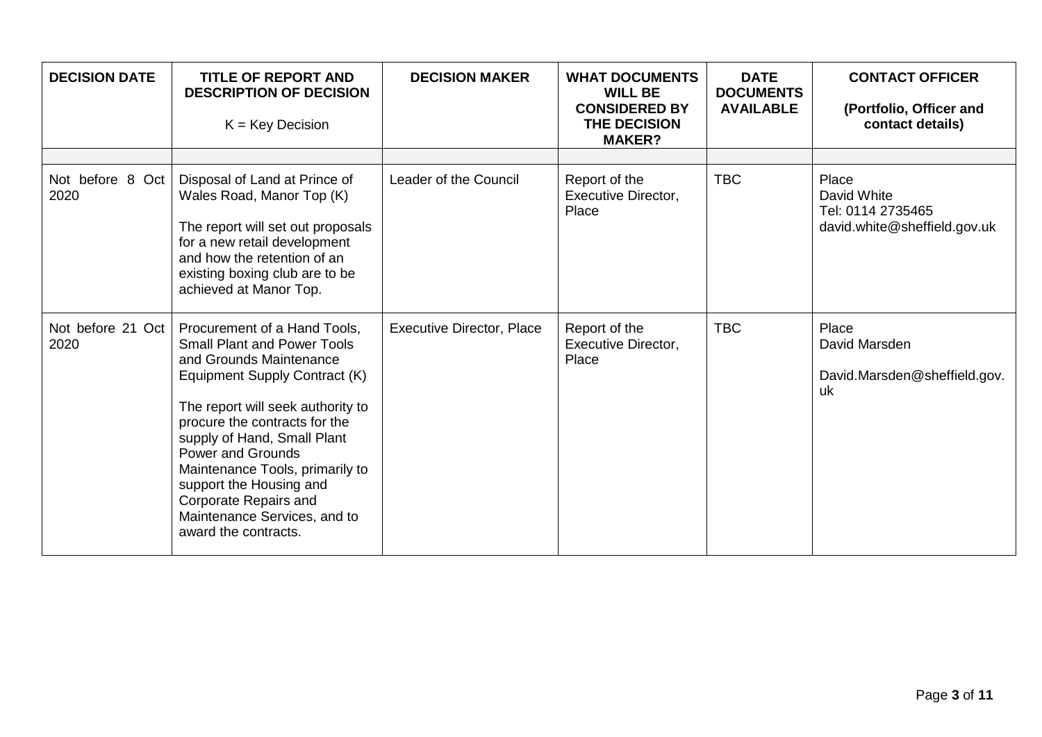| <b>DECISION DATE</b>      | <b>TITLE OF REPORT AND</b><br><b>DESCRIPTION OF DECISION</b><br>$K = Key Decision$                                                                                                                                                                                                                                                                                                                             | <b>DECISION MAKER</b>            | <b>WHAT DOCUMENTS</b><br><b>WILL BE</b><br><b>CONSIDERED BY</b><br>THE DECISION<br><b>MAKER?</b> | <b>DATE</b><br><b>DOCUMENTS</b><br><b>AVAILABLE</b> | <b>CONTACT OFFICER</b><br>(Portfolio, Officer and<br>contact details)     |
|---------------------------|----------------------------------------------------------------------------------------------------------------------------------------------------------------------------------------------------------------------------------------------------------------------------------------------------------------------------------------------------------------------------------------------------------------|----------------------------------|--------------------------------------------------------------------------------------------------|-----------------------------------------------------|---------------------------------------------------------------------------|
| Not before 8 Oct<br>2020  | Disposal of Land at Prince of<br>Wales Road, Manor Top (K)<br>The report will set out proposals<br>for a new retail development<br>and how the retention of an<br>existing boxing club are to be<br>achieved at Manor Top.                                                                                                                                                                                     | Leader of the Council            | Report of the<br><b>Executive Director,</b><br>Place                                             | <b>TBC</b>                                          | Place<br>David White<br>Tel: 0114 2735465<br>david.white@sheffield.gov.uk |
| Not before 21 Oct<br>2020 | Procurement of a Hand Tools,<br><b>Small Plant and Power Tools</b><br>and Grounds Maintenance<br>Equipment Supply Contract (K)<br>The report will seek authority to<br>procure the contracts for the<br>supply of Hand, Small Plant<br><b>Power and Grounds</b><br>Maintenance Tools, primarily to<br>support the Housing and<br>Corporate Repairs and<br>Maintenance Services, and to<br>award the contracts. | <b>Executive Director, Place</b> | Report of the<br>Executive Director,<br>Place                                                    | <b>TBC</b>                                          | Place<br>David Marsden<br>David.Marsden@sheffield.gov.<br>uk              |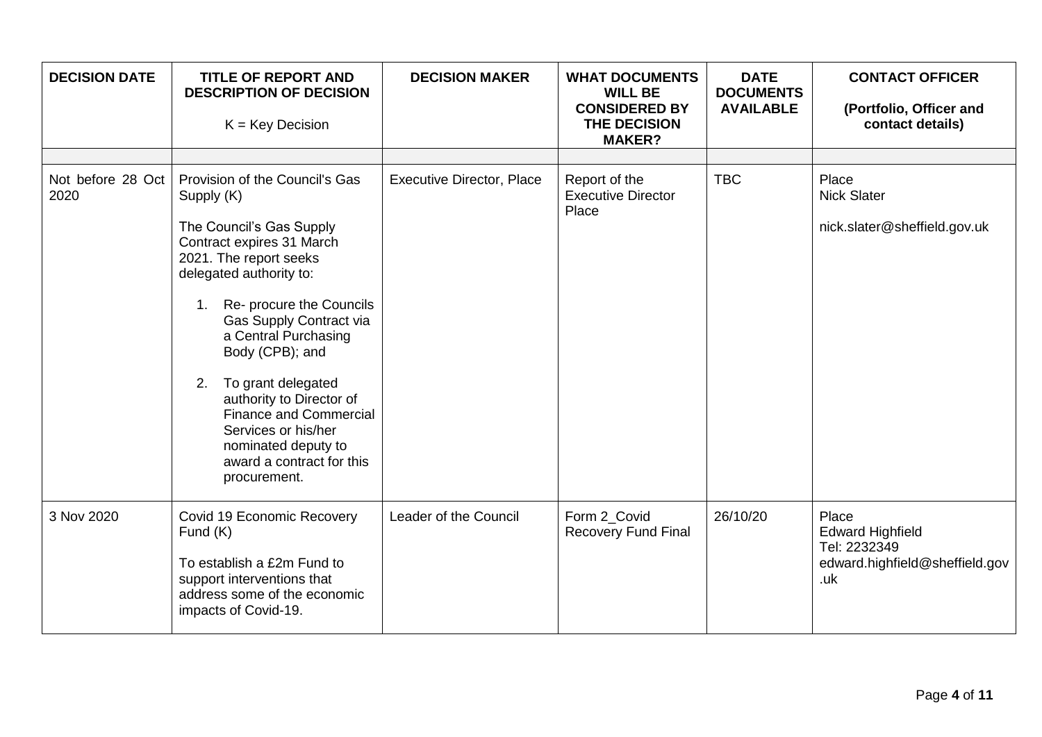| <b>DECISION DATE</b>      | <b>TITLE OF REPORT AND</b><br><b>DESCRIPTION OF DECISION</b><br>$K = Key Decision$                                                                                                                                                                                                                                                                                                                                                                  | <b>DECISION MAKER</b>            | <b>WHAT DOCUMENTS</b><br><b>WILL BE</b><br><b>CONSIDERED BY</b><br>THE DECISION<br><b>MAKER?</b> | <b>DATE</b><br><b>DOCUMENTS</b><br><b>AVAILABLE</b> | <b>CONTACT OFFICER</b><br>(Portfolio, Officer and<br>contact details)                     |
|---------------------------|-----------------------------------------------------------------------------------------------------------------------------------------------------------------------------------------------------------------------------------------------------------------------------------------------------------------------------------------------------------------------------------------------------------------------------------------------------|----------------------------------|--------------------------------------------------------------------------------------------------|-----------------------------------------------------|-------------------------------------------------------------------------------------------|
|                           |                                                                                                                                                                                                                                                                                                                                                                                                                                                     |                                  |                                                                                                  |                                                     |                                                                                           |
| Not before 28 Oct<br>2020 | Provision of the Council's Gas<br>Supply (K)<br>The Council's Gas Supply<br>Contract expires 31 March<br>2021. The report seeks<br>delegated authority to:<br>1. Re- procure the Councils<br>Gas Supply Contract via<br>a Central Purchasing<br>Body (CPB); and<br>To grant delegated<br>2.<br>authority to Director of<br><b>Finance and Commercial</b><br>Services or his/her<br>nominated deputy to<br>award a contract for this<br>procurement. | <b>Executive Director, Place</b> | Report of the<br><b>Executive Director</b><br>Place                                              | <b>TBC</b>                                          | Place<br><b>Nick Slater</b><br>nick.slater@sheffield.gov.uk                               |
| 3 Nov 2020                | Covid 19 Economic Recovery<br>Fund $(K)$<br>To establish a £2m Fund to<br>support interventions that<br>address some of the economic<br>impacts of Covid-19.                                                                                                                                                                                                                                                                                        | Leader of the Council            | Form 2 Covid<br><b>Recovery Fund Final</b>                                                       | 26/10/20                                            | Place<br><b>Edward Highfield</b><br>Tel: 2232349<br>edward.highfield@sheffield.gov<br>.uk |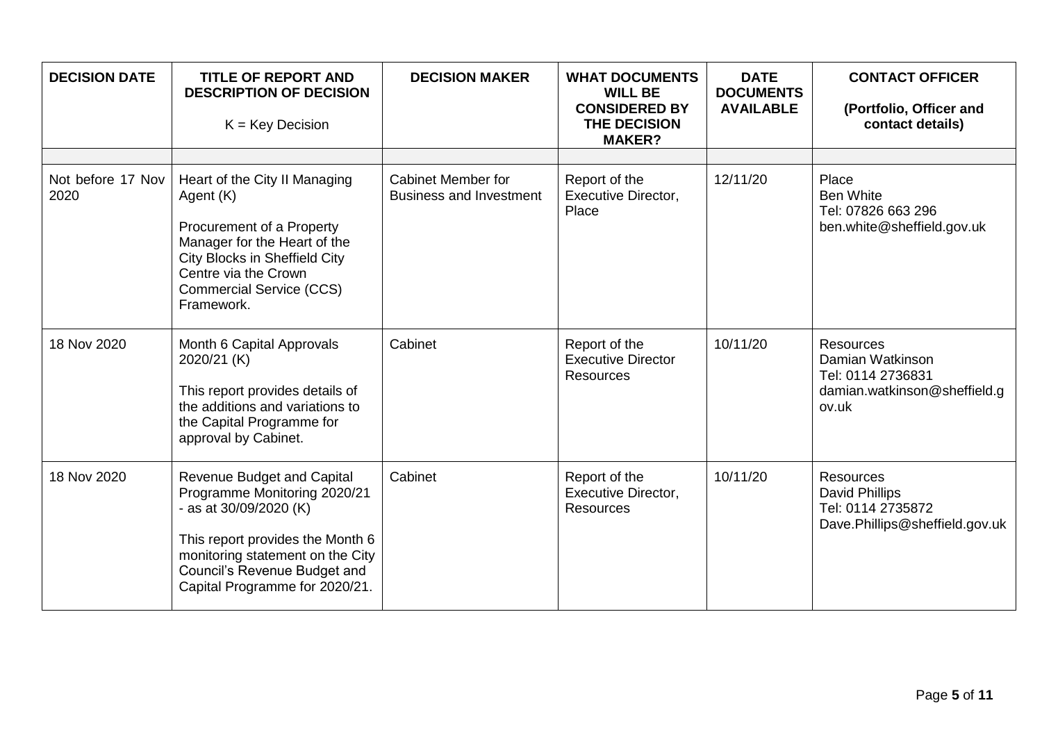| <b>DECISION DATE</b>      | <b>TITLE OF REPORT AND</b><br><b>DESCRIPTION OF DECISION</b><br>$K = Key Decision$                                                                                                                                                    | <b>DECISION MAKER</b>                                       | <b>WHAT DOCUMENTS</b><br><b>WILL BE</b><br><b>CONSIDERED BY</b><br>THE DECISION<br><b>MAKER?</b> | <b>DATE</b><br><b>DOCUMENTS</b><br><b>AVAILABLE</b> | <b>CONTACT OFFICER</b><br>(Portfolio, Officer and<br>contact details)                              |
|---------------------------|---------------------------------------------------------------------------------------------------------------------------------------------------------------------------------------------------------------------------------------|-------------------------------------------------------------|--------------------------------------------------------------------------------------------------|-----------------------------------------------------|----------------------------------------------------------------------------------------------------|
|                           |                                                                                                                                                                                                                                       |                                                             |                                                                                                  |                                                     |                                                                                                    |
| Not before 17 Nov<br>2020 | Heart of the City II Managing<br>Agent (K)<br>Procurement of a Property<br>Manager for the Heart of the<br>City Blocks in Sheffield City<br>Centre via the Crown<br><b>Commercial Service (CCS)</b><br>Framework.                     | <b>Cabinet Member for</b><br><b>Business and Investment</b> | Report of the<br>Executive Director,<br>Place                                                    | 12/11/20                                            | Place<br><b>Ben White</b><br>Tel: 07826 663 296<br>ben.white@sheffield.gov.uk                      |
| 18 Nov 2020               | Month 6 Capital Approvals<br>2020/21 (K)<br>This report provides details of<br>the additions and variations to<br>the Capital Programme for<br>approval by Cabinet.                                                                   | Cabinet                                                     | Report of the<br><b>Executive Director</b><br><b>Resources</b>                                   | 10/11/20                                            | <b>Resources</b><br>Damian Watkinson<br>Tel: 0114 2736831<br>damian.watkinson@sheffield.g<br>ov.uk |
| 18 Nov 2020               | <b>Revenue Budget and Capital</b><br>Programme Monitoring 2020/21<br>- as at 30/09/2020 (K)<br>This report provides the Month 6<br>monitoring statement on the City<br>Council's Revenue Budget and<br>Capital Programme for 2020/21. | Cabinet                                                     | Report of the<br><b>Executive Director,</b><br><b>Resources</b>                                  | 10/11/20                                            | <b>Resources</b><br>David Phillips<br>Tel: 0114 2735872<br>Dave.Phillips@sheffield.gov.uk          |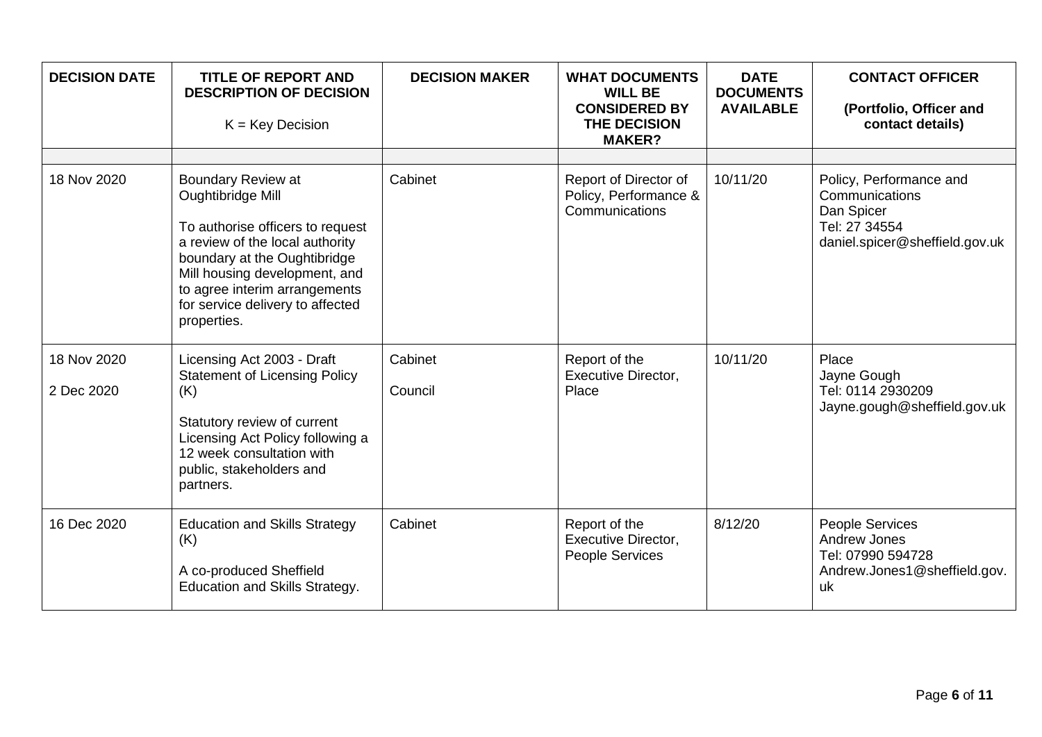| <b>DECISION DATE</b>      | <b>TITLE OF REPORT AND</b><br><b>DESCRIPTION OF DECISION</b><br>$K = Key Decision$                                                                                                                                                                                         | <b>DECISION MAKER</b> | <b>WHAT DOCUMENTS</b><br><b>WILL BE</b><br><b>CONSIDERED BY</b><br>THE DECISION<br><b>MAKER?</b> | <b>DATE</b><br><b>DOCUMENTS</b><br><b>AVAILABLE</b> | <b>CONTACT OFFICER</b><br>(Portfolio, Officer and<br>contact details)                                      |
|---------------------------|----------------------------------------------------------------------------------------------------------------------------------------------------------------------------------------------------------------------------------------------------------------------------|-----------------------|--------------------------------------------------------------------------------------------------|-----------------------------------------------------|------------------------------------------------------------------------------------------------------------|
| 18 Nov 2020               | <b>Boundary Review at</b><br>Oughtibridge Mill<br>To authorise officers to request<br>a review of the local authority<br>boundary at the Oughtibridge<br>Mill housing development, and<br>to agree interim arrangements<br>for service delivery to affected<br>properties. | Cabinet               | Report of Director of<br>Policy, Performance &<br>Communications                                 | 10/11/20                                            | Policy, Performance and<br>Communications<br>Dan Spicer<br>Tel: 27 34554<br>daniel.spicer@sheffield.gov.uk |
| 18 Nov 2020<br>2 Dec 2020 | Licensing Act 2003 - Draft<br><b>Statement of Licensing Policy</b><br>(K)<br>Statutory review of current<br>Licensing Act Policy following a<br>12 week consultation with<br>public, stakeholders and<br>partners.                                                         | Cabinet<br>Council    | Report of the<br>Executive Director,<br>Place                                                    | 10/11/20                                            | Place<br>Jayne Gough<br>Tel: 0114 2930209<br>Jayne.gough@sheffield.gov.uk                                  |
| 16 Dec 2020               | <b>Education and Skills Strategy</b><br>(K)<br>A co-produced Sheffield<br>Education and Skills Strategy.                                                                                                                                                                   | Cabinet               | Report of the<br><b>Executive Director,</b><br>People Services                                   | 8/12/20                                             | People Services<br>Andrew Jones<br>Tel: 07990 594728<br>Andrew.Jones1@sheffield.gov.<br>uk                 |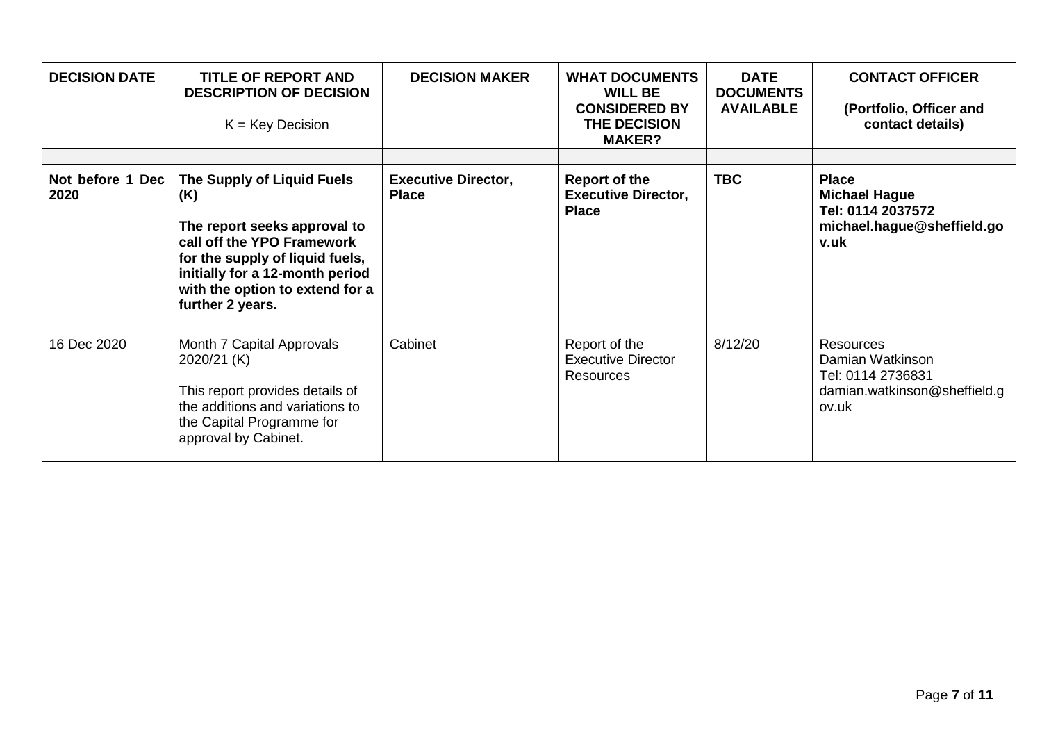| <b>DECISION DATE</b>     | <b>TITLE OF REPORT AND</b><br><b>DESCRIPTION OF DECISION</b><br>$K = Key Decision$                                                                                                                                           | <b>DECISION MAKER</b>                      | <b>WHAT DOCUMENTS</b><br><b>WILL BE</b><br><b>CONSIDERED BY</b><br><b>THE DECISION</b><br><b>MAKER?</b> | <b>DATE</b><br><b>DOCUMENTS</b><br><b>AVAILABLE</b> | <b>CONTACT OFFICER</b><br>(Portfolio, Officer and<br>contact details)                           |
|--------------------------|------------------------------------------------------------------------------------------------------------------------------------------------------------------------------------------------------------------------------|--------------------------------------------|---------------------------------------------------------------------------------------------------------|-----------------------------------------------------|-------------------------------------------------------------------------------------------------|
|                          |                                                                                                                                                                                                                              |                                            |                                                                                                         |                                                     |                                                                                                 |
| Not before 1 Dec<br>2020 | The Supply of Liquid Fuels<br>(K)<br>The report seeks approval to<br>call off the YPO Framework<br>for the supply of liquid fuels,<br>initially for a 12-month period<br>with the option to extend for a<br>further 2 years. | <b>Executive Director,</b><br><b>Place</b> | <b>Report of the</b><br><b>Executive Director,</b><br><b>Place</b>                                      | <b>TBC</b>                                          | <b>Place</b><br><b>Michael Hague</b><br>Tel: 0114 2037572<br>michael.hague@sheffield.go<br>v.uk |
| 16 Dec 2020              | Month 7 Capital Approvals<br>2020/21 (K)<br>This report provides details of<br>the additions and variations to<br>the Capital Programme for<br>approval by Cabinet.                                                          | Cabinet                                    | Report of the<br><b>Executive Director</b><br><b>Resources</b>                                          | 8/12/20                                             | Resources<br>Damian Watkinson<br>Tel: 0114 2736831<br>damian.watkinson@sheffield.g<br>ov.uk     |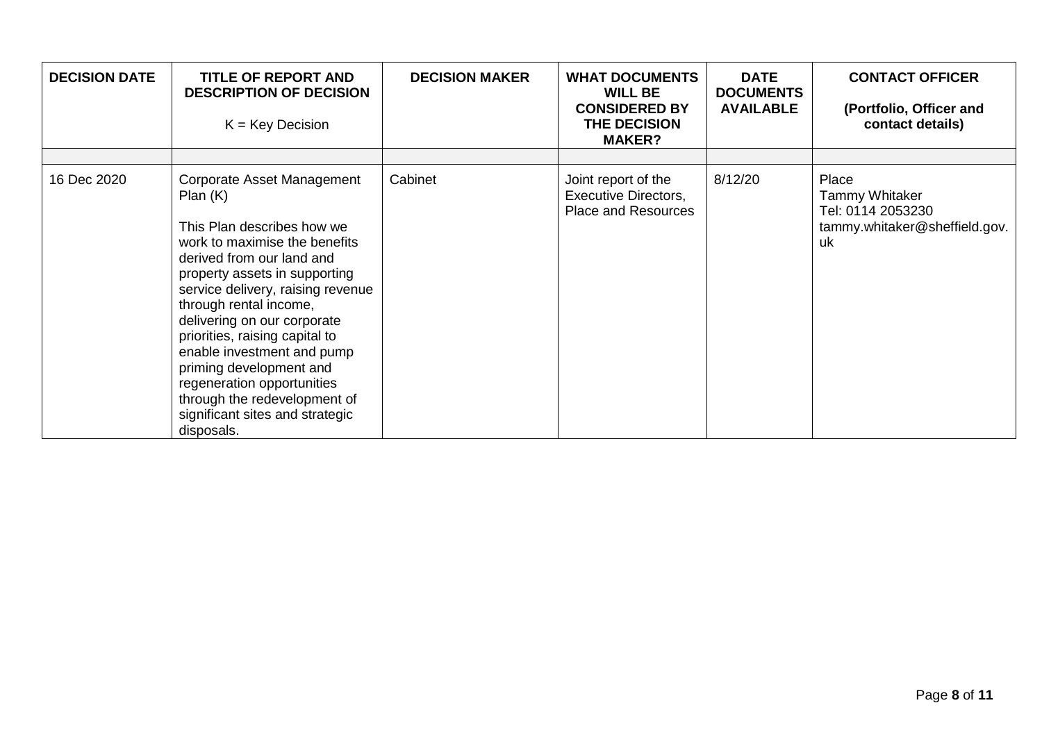| <b>DECISION DATE</b> | TITLE OF REPORT AND<br><b>DESCRIPTION OF DECISION</b><br>$K = Key Decision$                                                                                                                                                                                                                                                                                                                                                                                                | <b>DECISION MAKER</b> | <b>WHAT DOCUMENTS</b><br><b>WILL BE</b><br><b>CONSIDERED BY</b><br>THE DECISION<br><b>MAKER?</b> | <b>DATE</b><br><b>DOCUMENTS</b><br><b>AVAILABLE</b> | <b>CONTACT OFFICER</b><br>(Portfolio, Officer and<br>contact details)                      |
|----------------------|----------------------------------------------------------------------------------------------------------------------------------------------------------------------------------------------------------------------------------------------------------------------------------------------------------------------------------------------------------------------------------------------------------------------------------------------------------------------------|-----------------------|--------------------------------------------------------------------------------------------------|-----------------------------------------------------|--------------------------------------------------------------------------------------------|
| 16 Dec 2020          | Corporate Asset Management<br>Plan(K)<br>This Plan describes how we<br>work to maximise the benefits<br>derived from our land and<br>property assets in supporting<br>service delivery, raising revenue<br>through rental income,<br>delivering on our corporate<br>priorities, raising capital to<br>enable investment and pump<br>priming development and<br>regeneration opportunities<br>through the redevelopment of<br>significant sites and strategic<br>disposals. | Cabinet               | Joint report of the<br><b>Executive Directors,</b><br><b>Place and Resources</b>                 | 8/12/20                                             | Place<br><b>Tammy Whitaker</b><br>Tel: 0114 2053230<br>tammy.whitaker@sheffield.gov.<br>uk |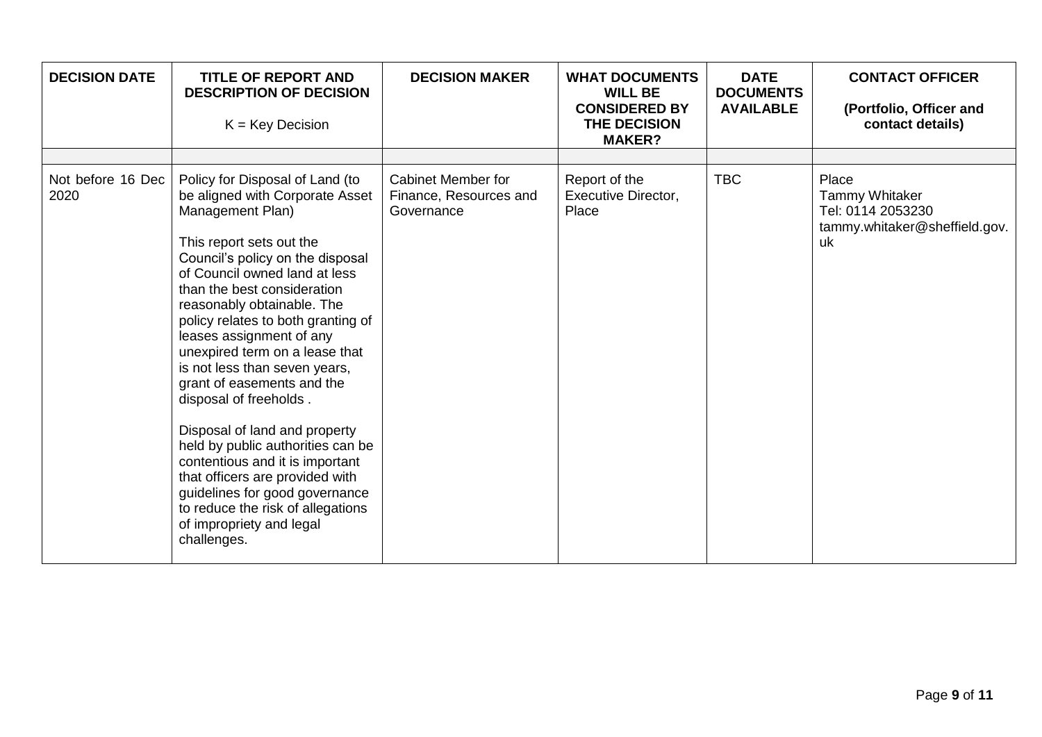| <b>DECISION DATE</b>      | <b>TITLE OF REPORT AND</b><br><b>DESCRIPTION OF DECISION</b><br>$K = Key Decision$                                                                                                                                                                                                                                                                                                                                                                                                                                                                                                                                                                                                                              | <b>DECISION MAKER</b>                                             | <b>WHAT DOCUMENTS</b><br><b>WILL BE</b><br><b>CONSIDERED BY</b><br>THE DECISION<br><b>MAKER?</b> | <b>DATE</b><br><b>DOCUMENTS</b><br><b>AVAILABLE</b> | <b>CONTACT OFFICER</b><br>(Portfolio, Officer and<br>contact details)                      |
|---------------------------|-----------------------------------------------------------------------------------------------------------------------------------------------------------------------------------------------------------------------------------------------------------------------------------------------------------------------------------------------------------------------------------------------------------------------------------------------------------------------------------------------------------------------------------------------------------------------------------------------------------------------------------------------------------------------------------------------------------------|-------------------------------------------------------------------|--------------------------------------------------------------------------------------------------|-----------------------------------------------------|--------------------------------------------------------------------------------------------|
| Not before 16 Dec<br>2020 | Policy for Disposal of Land (to<br>be aligned with Corporate Asset<br>Management Plan)<br>This report sets out the<br>Council's policy on the disposal<br>of Council owned land at less<br>than the best consideration<br>reasonably obtainable. The<br>policy relates to both granting of<br>leases assignment of any<br>unexpired term on a lease that<br>is not less than seven years,<br>grant of easements and the<br>disposal of freeholds.<br>Disposal of land and property<br>held by public authorities can be<br>contentious and it is important<br>that officers are provided with<br>guidelines for good governance<br>to reduce the risk of allegations<br>of impropriety and legal<br>challenges. | <b>Cabinet Member for</b><br>Finance, Resources and<br>Governance | Report of the<br><b>Executive Director,</b><br>Place                                             | <b>TBC</b>                                          | Place<br><b>Tammy Whitaker</b><br>Tel: 0114 2053230<br>tammy.whitaker@sheffield.gov.<br>uk |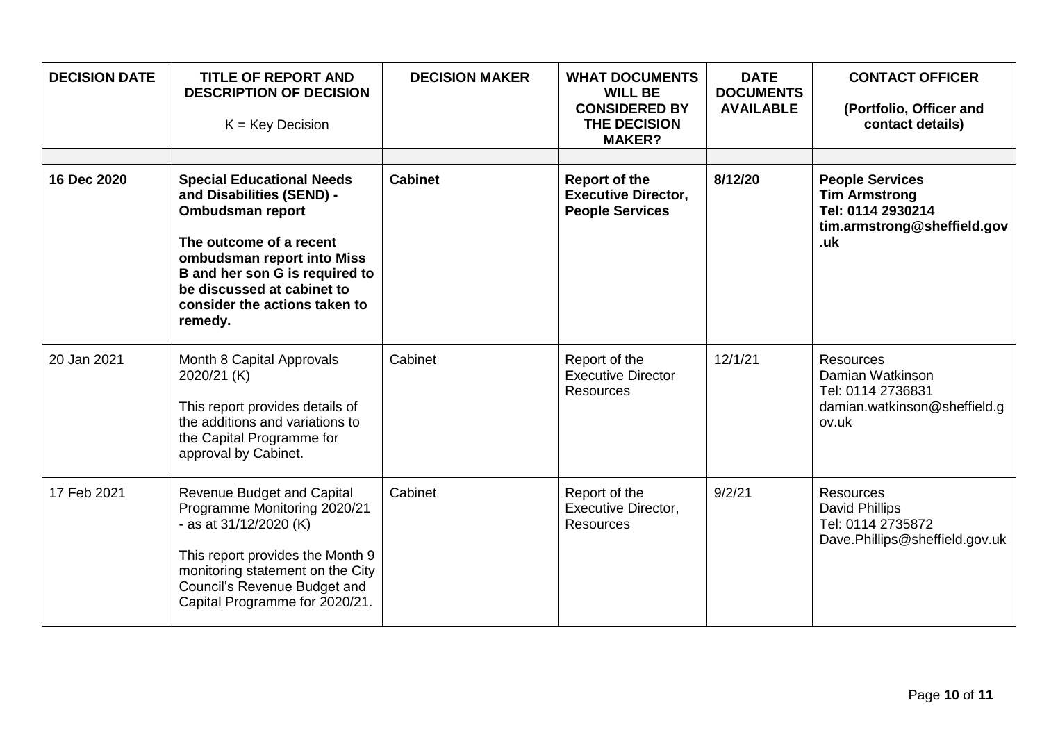| <b>DECISION DATE</b> | <b>TITLE OF REPORT AND</b><br><b>DESCRIPTION OF DECISION</b><br>$K = Key Decision$                                                                                                                                                                            | <b>DECISION MAKER</b> | <b>WHAT DOCUMENTS</b><br><b>WILL BE</b><br><b>CONSIDERED BY</b><br>THE DECISION<br><b>MAKER?</b> | <b>DATE</b><br><b>DOCUMENTS</b><br><b>AVAILABLE</b> | <b>CONTACT OFFICER</b><br>(Portfolio, Officer and<br>contact details)                                     |
|----------------------|---------------------------------------------------------------------------------------------------------------------------------------------------------------------------------------------------------------------------------------------------------------|-----------------------|--------------------------------------------------------------------------------------------------|-----------------------------------------------------|-----------------------------------------------------------------------------------------------------------|
| 16 Dec 2020          | <b>Special Educational Needs</b><br>and Disabilities (SEND) -<br><b>Ombudsman report</b><br>The outcome of a recent<br>ombudsman report into Miss<br>B and her son G is required to<br>be discussed at cabinet to<br>consider the actions taken to<br>remedy. | <b>Cabinet</b>        | Report of the<br><b>Executive Director,</b><br><b>People Services</b>                            | 8/12/20                                             | <b>People Services</b><br><b>Tim Armstrong</b><br>Tel: 0114 2930214<br>tim.armstrong@sheffield.gov<br>.uk |
| 20 Jan 2021          | Month 8 Capital Approvals<br>2020/21 (K)<br>This report provides details of<br>the additions and variations to<br>the Capital Programme for<br>approval by Cabinet.                                                                                           | Cabinet               | Report of the<br><b>Executive Director</b><br><b>Resources</b>                                   | 12/1/21                                             | <b>Resources</b><br>Damian Watkinson<br>Tel: 0114 2736831<br>damian.watkinson@sheffield.g<br>ov.uk        |
| 17 Feb 2021          | <b>Revenue Budget and Capital</b><br>Programme Monitoring 2020/21<br>- as at 31/12/2020 (K)<br>This report provides the Month 9<br>monitoring statement on the City<br>Council's Revenue Budget and<br>Capital Programme for 2020/21.                         | Cabinet               | Report of the<br><b>Executive Director,</b><br><b>Resources</b>                                  | 9/2/21                                              | <b>Resources</b><br>David Phillips<br>Tel: 0114 2735872<br>Dave.Phillips@sheffield.gov.uk                 |